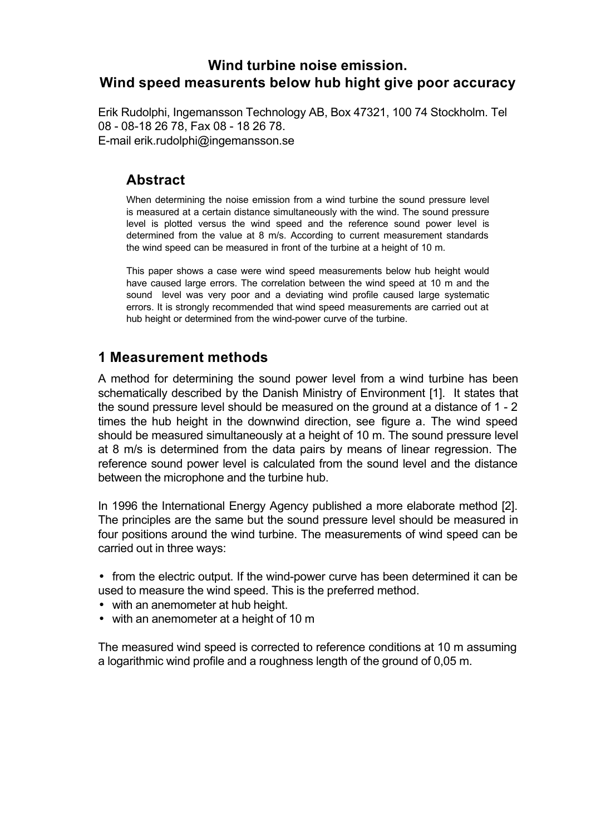# **Wind turbine noise emission. Wind speed measurents below hub hight give poor accuracy**

Erik Rudolphi, Ingemansson Technology AB, Box 47321, 100 74 Stockholm. Tel 08 - 08-18 26 78, Fax 08 - 18 26 78. E-mail erik.rudolphi@ingemansson.se

# **Abstract**

When determining the noise emission from a wind turbine the sound pressure level is measured at a certain distance simultaneously with the wind. The sound pressure level is plotted versus the wind speed and the reference sound power level is determined from the value at 8 m/s. According to current measurement standards the wind speed can be measured in front of the turbine at a height of 10 m.

This paper shows a case were wind speed measurements below hub height would have caused large errors. The correlation between the wind speed at 10 m and the sound level was very poor and a deviating wind profile caused large systematic errors. It is strongly recommended that wind speed measurements are carried out at hub height or determined from the wind-power curve of the turbine.

# **1 Measurement methods**

A method for determining the sound power level from a wind turbine has been schematically described by the Danish Ministry of Environment [1]. It states that the sound pressure level should be measured on the ground at a distance of 1 - 2 times the hub height in the downwind direction, see figure a. The wind speed should be measured simultaneously at a height of 10 m. The sound pressure level at 8 m/s is determined from the data pairs by means of linear regression. The reference sound power level is calculated from the sound level and the distance between the microphone and the turbine hub.

In 1996 the International Energy Agency published a more elaborate method [2]. The principles are the same but the sound pressure level should be measured in four positions around the wind turbine. The measurements of wind speed can be carried out in three ways:

• from the electric output. If the wind-power curve has been determined it can be used to measure the wind speed. This is the preferred method.

- with an anemometer at hub height.
- with an anemometer at a height of 10 m

The measured wind speed is corrected to reference conditions at 10 m assuming a logarithmic wind profile and a roughness length of the ground of 0,05 m.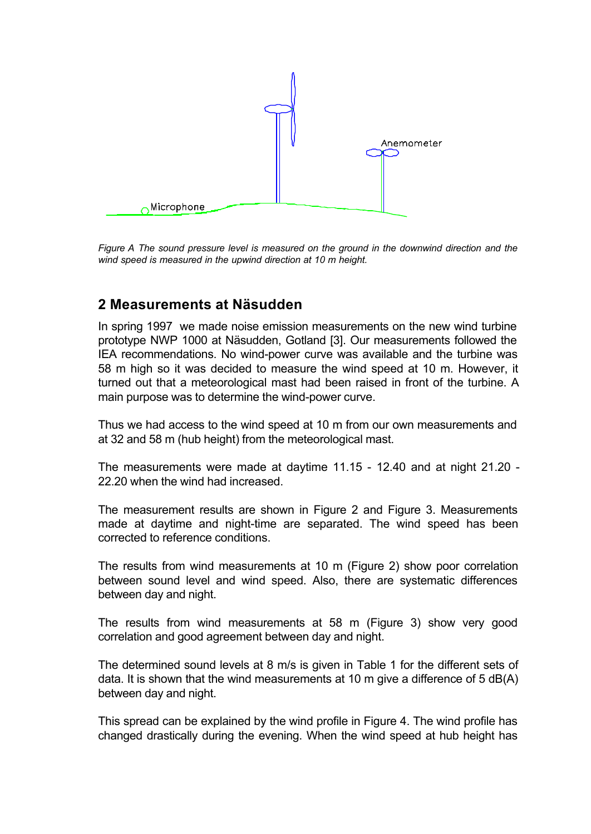

*Figure A The sound pressure level is measured on the ground in the downwind direction and the wind speed is measured in the upwind direction at 10 m height.*

### **2 Measurements at Näsudden**

In spring 1997 we made noise emission measurements on the new wind turbine prototype NWP 1000 at Näsudden, Gotland [3]. Our measurements followed the IEA recommendations. No wind-power curve was available and the turbine was 58 m high so it was decided to measure the wind speed at 10 m. However, it turned out that a meteorological mast had been raised in front of the turbine. A main purpose was to determine the wind-power curve.

Thus we had access to the wind speed at 10 m from our own measurements and at 32 and 58 m (hub height) from the meteorological mast.

The measurements were made at daytime 11.15 - 12.40 and at night 21.20 - 22.20 when the wind had increased.

The measurement results are shown in Figure 2 and Figure 3. Measurements made at daytime and night-time are separated. The wind speed has been corrected to reference conditions.

The results from wind measurements at 10 m (Figure 2) show poor correlation between sound level and wind speed. Also, there are systematic differences between day and night.

The results from wind measurements at 58 m (Figure 3) show very good correlation and good agreement between day and night.

The determined sound levels at 8 m/s is given in Table 1 for the different sets of data. It is shown that the wind measurements at 10 m give a difference of 5 dB(A) between day and night.

This spread can be explained by the wind profile in Figure 4. The wind profile has changed drastically during the evening. When the wind speed at hub height has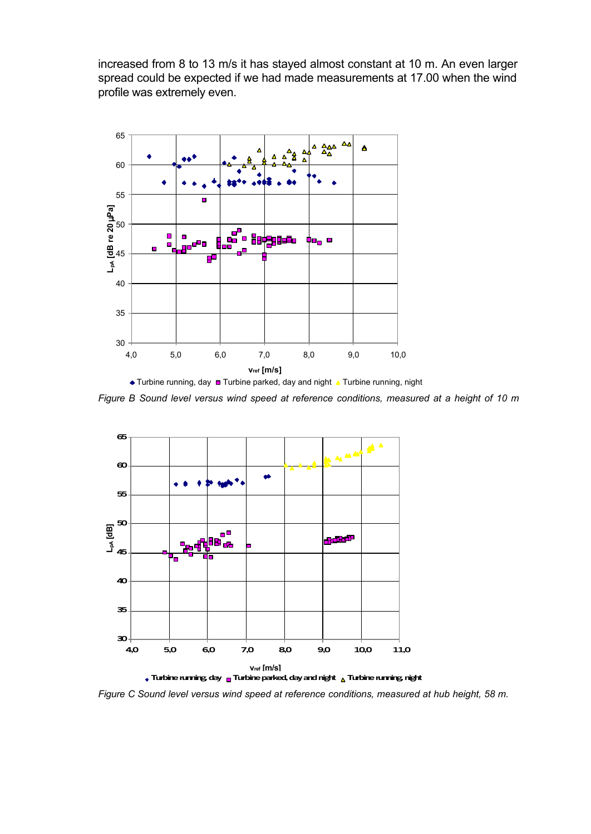increased from 8 to 13 m/s it has stayed almost constant at 10 m. An even larger spread could be expected if we had made measurements at 17.00 when the wind profile was extremely even.



*Figure B Sound level versus wind speed at reference conditions, measured at a height of 10 m*



*Figure C Sound level versus wind speed at reference conditions, measured at hub height, 58 m.*